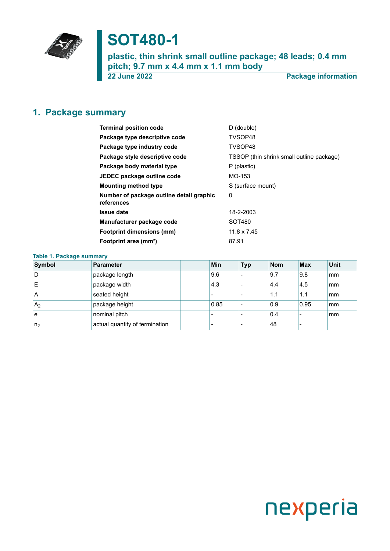

# **SOT480-1**

**plastic, thin shrink small outline package; 48 leads; 0.4 mm pitch; 9.7 mm x 4.4 mm x 1.1 mm body**

**22 June 2022 Package information**

### <span id="page-0-0"></span>**1. Package summary**

| <b>Terminal position code</b>                          | D (double)                                |
|--------------------------------------------------------|-------------------------------------------|
| Package type descriptive code                          | TVSOP48                                   |
| Package type industry code                             | TVSOP48                                   |
| Package style descriptive code                         | TSSOP (thin shrink small outline package) |
| Package body material type                             | P (plastic)                               |
| JEDEC package outline code                             | MO-153                                    |
| <b>Mounting method type</b>                            | S (surface mount)                         |
| Number of package outline detail graphic<br>references | 0                                         |
| <b>Issue date</b>                                      | 18-2-2003                                 |
| Manufacturer package code                              | SOT480                                    |
| <b>Footprint dimensions (mm)</b>                       | 11.8 x 7.45                               |
| Footprint area (mm <sup>2</sup> )                      | 87.91                                     |

### **Table 1. Package summary**

| Symbol         | Parameter                      | Min  | <b>Typ</b> | <b>Nom</b> | <b>Max</b> | <b>Unit</b> |
|----------------|--------------------------------|------|------------|------------|------------|-------------|
| l D            | package length                 | 9.6  |            | 9.7        | 9.8        | mm          |
| ΙE             | package width                  | 4.3  |            | 4.4        | 4.5        | mm          |
| ΙA             | seated height                  | -    | -          | 1.1        | 1.1        | mm          |
| A <sub>2</sub> | package height                 | 0.85 |            | 0.9        | 0.95       | mm          |
| ۱e             | nominal pitch                  |      |            | 0.4        |            | mm          |
| n <sub>2</sub> | actual quantity of termination |      |            | 48         |            |             |

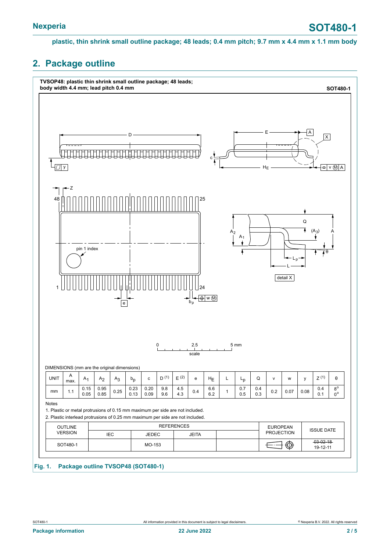### <span id="page-1-0"></span>**2. Package outline**

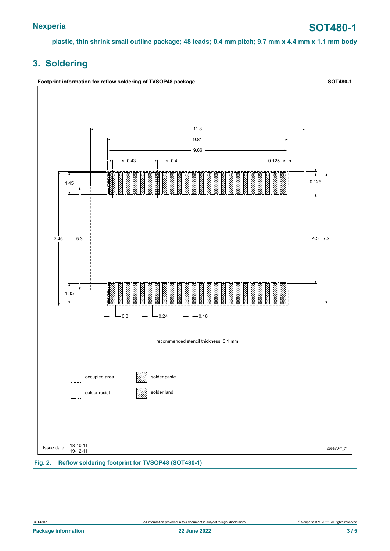### <span id="page-2-0"></span>**3. Soldering**

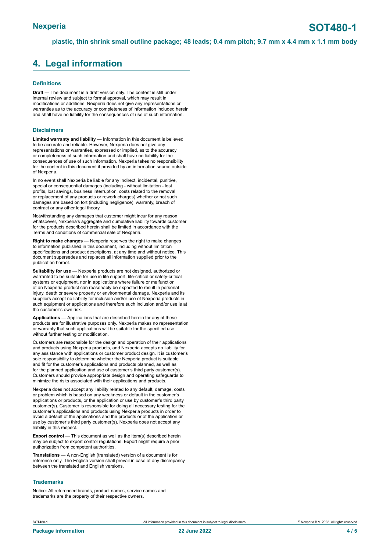# <span id="page-3-0"></span>**4. Legal information**

#### **Definitions**

**Draft** — The document is a draft version only. The content is still under internal review and subject to formal approval, which may result in modifications or additions. Nexperia does not give any representations or warranties as to the accuracy or completeness of information included herein and shall have no liability for the consequences of use of such information.

#### **Disclaimers**

**Limited warranty and liability** — Information in this document is believed to be accurate and reliable. However, Nexperia does not give any representations or warranties, expressed or implied, as to the accuracy or completeness of such information and shall have no liability for the consequences of use of such information. Nexperia takes no responsibility for the content in this document if provided by an information source outside of Nexperia.

In no event shall Nexperia be liable for any indirect, incidental, punitive, special or consequential damages (including - without limitation - lost profits, lost savings, business interruption, costs related to the removal or replacement of any products or rework charges) whether or not such damages are based on tort (including negligence), warranty, breach of contract or any other legal theory.

Notwithstanding any damages that customer might incur for any reason whatsoever, Nexperia's aggregate and cumulative liability towards customer for the products described herein shall be limited in accordance with the Terms and conditions of commercial sale of Nexperia.

**Right to make changes** — Nexperia reserves the right to make changes to information published in this document, including without limitation specifications and product descriptions, at any time and without notice. This document supersedes and replaces all information supplied prior to the publication hereof.

**Suitability for use** — Nexperia products are not designed, authorized or warranted to be suitable for use in life support, life-critical or safety-critical systems or equipment, nor in applications where failure or malfunction of an Nexperia product can reasonably be expected to result in personal injury, death or severe property or environmental damage. Nexperia and its suppliers accept no liability for inclusion and/or use of Nexperia products in such equipment or applications and therefore such inclusion and/or use is at the customer's own risk.

**Applications** — Applications that are described herein for any of these products are for illustrative purposes only. Nexperia makes no representation or warranty that such applications will be suitable for the specified use without further testing or modification.

Customers are responsible for the design and operation of their applications and products using Nexperia products, and Nexperia accepts no liability for any assistance with applications or customer product design. It is customer's sole responsibility to determine whether the Nexperia product is suitable and fit for the customer's applications and products planned, as well as for the planned application and use of customer's third party customer(s). Customers should provide appropriate design and operating safeguards to minimize the risks associated with their applications and products.

Nexperia does not accept any liability related to any default, damage, costs or problem which is based on any weakness or default in the customer's applications or products, or the application or use by customer's third party customer(s). Customer is responsible for doing all necessary testing for the customer's applications and products using Nexperia products in order to avoid a default of the applications and the products or of the application or use by customer's third party customer(s). Nexperia does not accept any liability in this respect.

**Export control** — This document as well as the item(s) described herein may be subject to export control regulations. Export might require a prior authorization from competent authorities.

**Translations** — A non-English (translated) version of a document is for reference only. The English version shall prevail in case of any discrepancy between the translated and English versions.

#### **Trademarks**

Notice: All referenced brands, product names, service names and trademarks are the property of their respective owners.